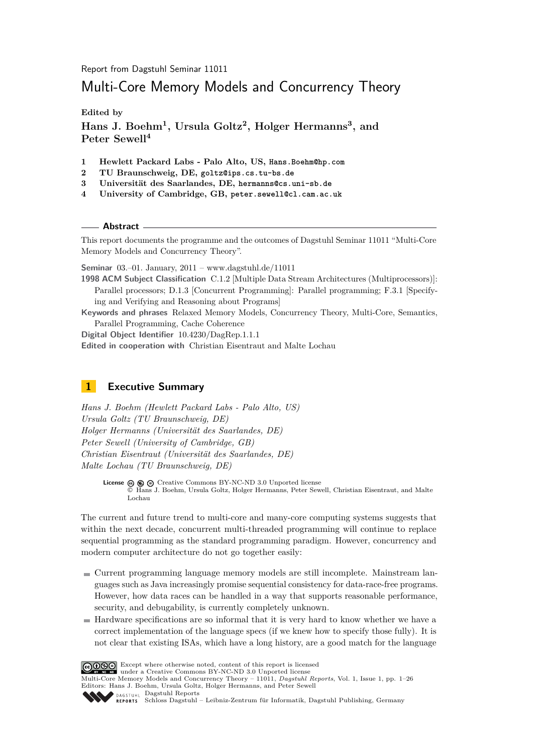Report from Dagstuhl Seminar 11011

# Multi-Core Memory Models and Concurrency Theory

**Edited by**

**Hans J. Boehm<sup>1</sup> , Ursula Goltz<sup>2</sup> , Holger Hermanns<sup>3</sup> , and Peter Sewell<sup>4</sup>**

- **1 Hewlett Packard Labs Palo Alto, US, Hans.Boehm@hp.com**
- **2 TU Braunschweig, DE, goltz@ips.cs.tu-bs.de**
- **3 Universität des Saarlandes, DE, hermanns@cs.uni-sb.de**
- **4 University of Cambridge, GB, peter.sewell@cl.cam.ac.uk**

**Abstract**

This report documents the programme and the outcomes of Dagstuhl Seminar 11011 "Multi-Core Memory Models and Concurrency Theory".

**Seminar** 03.–01. January, 2011 – [www.dagstuhl.de/11011](http://www.dagstuhl.de/11011)

**1998 ACM Subject Classification** C.1.2 [Multiple Data Stream Architectures (Multiprocessors)]: Parallel processors; D.1.3 [Concurrent Programming]: Parallel programming; F.3.1 [Specifying and Verifying and Reasoning about Programs]

**Keywords and phrases** Relaxed Memory Models, Concurrency Theory, Multi-Core, Semantics, Parallel Programming, Cache Coherence

**Digital Object Identifier** [10.4230/DagRep.1.1.1](http://dx.doi.org/10.4230/DagRep.1.1.1)

**Edited in cooperation with** Christian Eisentraut and Malte Lochau

# <span id="page-0-0"></span>**1 Executive Summary**

*Hans J. Boehm (Hewlett Packard Labs - Palo Alto, US) Ursula Goltz (TU Braunschweig, DE) Holger Hermanns (Universität des Saarlandes, DE) Peter Sewell (University of Cambridge, GB) Christian Eisentraut (Universität des Saarlandes, DE) Malte Lochau (TU Braunschweig, DE)*

**License**  $\textcircled{e}$   $\textcircled{e}$   $\textcircled{e}$  [Creative Commons BY-NC-ND 3.0 Unported](http://creativecommons.org/licenses/by-nc-nd/3.0/) license © [Hans J. Boehm, Ursula Goltz, Holger Hermanns, Peter Sewell, Christian Eisentraut, and Malte](#page-0-0) [Lochau](#page-0-0)

The current and future trend to multi-core and many-core computing systems suggests that within the next decade, concurrent multi-threaded programming will continue to replace sequential programming as the standard programming paradigm. However, concurrency and modern computer architecture do not go together easily:

- Current programming language memory models are still incomplete. Mainstream languages such as Java increasingly promise sequential consistency for data-race-free programs. However, how data races can be handled in a way that supports reasonable performance, security, and debugability, is currently completely unknown.
- Hardware specifications are so informal that it is very hard to know whether we have a correct implementation of the language specs (if we knew how to specify those fully). It is not clear that existing ISAs, which have a long history, are a good match for the language

Except where otherwise noted, content of this report is licensed under a [Creative Commons BY-NC-ND 3.0 Unported](http://creativecommons.org/licenses/by-nc-nd/3.0/) license

Multi-Core Memory Models and Concurrency Theory – 11011, *Dagstuhl Reports*, Vol. 1, Issue 1, pp. 1[–26](#page-25-0) Editors: Hans J. Boehm, Ursula Goltz, Holger Hermanns, and Peter Sewell



[Schloss Dagstuhl – Leibniz-Zentrum für Informatik, Dagstuhl Publishing, Germany](http://www.dagstuhl.de)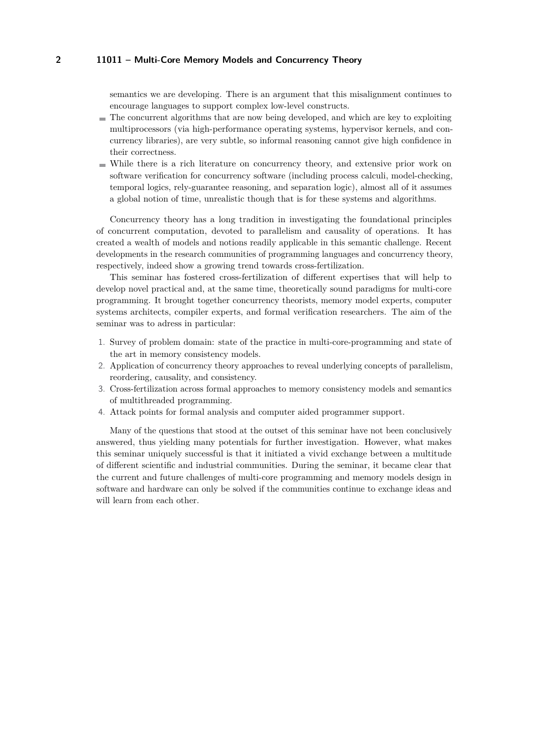semantics we are developing. There is an argument that this misalignment continues to encourage languages to support complex low-level constructs.

- The concurrent algorithms that are now being developed, and which are key to exploiting multiprocessors (via high-performance operating systems, hypervisor kernels, and concurrency libraries), are very subtle, so informal reasoning cannot give high confidence in their correctness.
- While there is a rich literature on concurrency theory, and extensive prior work on software verification for concurrency software (including process calculi, model-checking, temporal logics, rely-guarantee reasoning, and separation logic), almost all of it assumes a global notion of time, unrealistic though that is for these systems and algorithms.

Concurrency theory has a long tradition in investigating the foundational principles of concurrent computation, devoted to parallelism and causality of operations. It has created a wealth of models and notions readily applicable in this semantic challenge. Recent developments in the research communities of programming languages and concurrency theory, respectively, indeed show a growing trend towards cross-fertilization.

This seminar has fostered cross-fertilization of different expertises that will help to develop novel practical and, at the same time, theoretically sound paradigms for multi-core programming. It brought together concurrency theorists, memory model experts, computer systems architects, compiler experts, and formal verification researchers. The aim of the seminar was to adress in particular:

- 1. Survey of problem domain: state of the practice in multi-core-programming and state of the art in memory consistency models.
- 2. Application of concurrency theory approaches to reveal underlying concepts of parallelism, reordering, causality, and consistency.
- 3. Cross-fertilization across formal approaches to memory consistency models and semantics of multithreaded programming.
- 4. Attack points for formal analysis and computer aided programmer support.

Many of the questions that stood at the outset of this seminar have not been conclusively answered, thus yielding many potentials for further investigation. However, what makes this seminar uniquely successful is that it initiated a vivid exchange between a multitude of different scientific and industrial communities. During the seminar, it became clear that the current and future challenges of multi-core programming and memory models design in software and hardware can only be solved if the communities continue to exchange ideas and will learn from each other.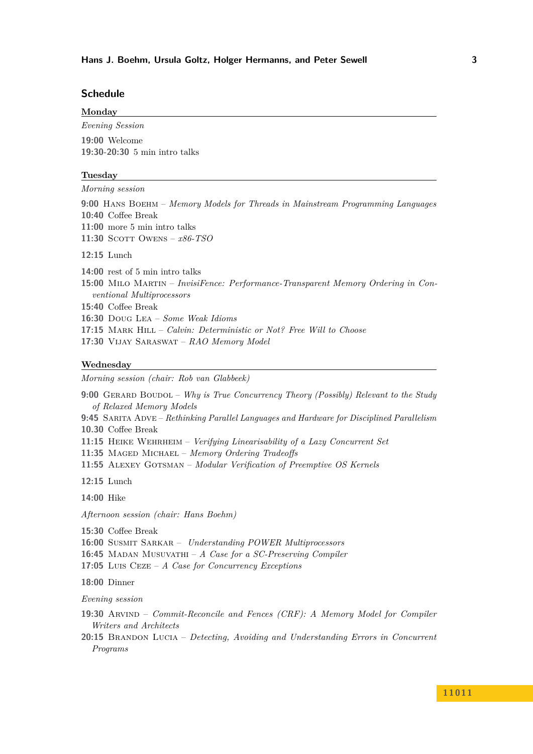# **Schedule**

| Monday                                                                           |
|----------------------------------------------------------------------------------|
| Evening Session                                                                  |
| 19:00 Welcome                                                                    |
| 19:30-20:30 5 min intro talks                                                    |
| Tuesday                                                                          |
| <i>Morning session</i>                                                           |
| 9:00 HANS BOEHM – Memory Models for Threads in Mainstream Programming Languages  |
| 10:40 Coffee Break                                                               |
| $11:00$ more 5 min intro talks                                                   |
| 11:30 SCOTT OWENS $- x86 - TSO$                                                  |
| $12:15$ Lunch                                                                    |
| 14:00 rest of 5 min intro talks                                                  |
| 15:00 MILO MARTIN – InvisiFence: Performance-Transparent Memory Ordering in Con- |
| ventional Multiprocessors                                                        |
| 15:40 Coffee Break                                                               |
| <b>16:30</b> DOUG LEA – <i>Some Weak Idioms</i>                                  |
| <b>17:15</b> MARK HILL – Calvin: Deterministic or Not? Free Will to Choose       |
| 17:30 VIJAY SARASWAT – $RAO$ Memory Model                                        |

#### **Wednesday**

*Morning session (chair: Rob van Glabbeek)*

**9:00** Gerard Boudol – *[Why is True Concurrency Theory \(Possibly\) Relevant to the Study](#page-9-0) [of Relaxed Memory Models](#page-9-0)*

**9:45** Sarita Adve – *[Rethinking Parallel Languages and Hardware for Disciplined Parallelism](#page-6-0)* **10.30** Coffee Break

**11:15** Heike Wehrheim – *[Verifying Linearisability of a Lazy Concurrent Set](#page-21-0)*

**11:35** Maged Michael – *[Memory Ordering Tradeoffs](#page-17-0)*

**11:55** Alexey Gotsman – *[Modular Verification of Preemptive OS Kernels](#page-12-0)*

**12:15** Lunch

**14:00** Hike

*Afternoon session (chair: Hans Boehm)*

**15:30** Coffee Break

**16:00** Susmit Sarkar – *[Understanding POWER Multiprocessors](#page-20-1)*

**16:45** Madan Musuvathi – *[A Case for a SC-Preserving Compiler](#page-18-1)*

**17:05** Luis Ceze – *[A Case for Concurrency Exceptions](#page-10-0)*

**18:00** Dinner

*Evening session*

**19:30** Arvind – *[Commit-Reconcile and Fences \(CRF\): A Memory Model for Compiler](#page-7-0) [Writers and Architects](#page-7-0)*

**20:15** Brandon Lucia – *[Detecting, Avoiding and Understanding Errors in Concurrent](#page-15-0) [Programs](#page-15-0)*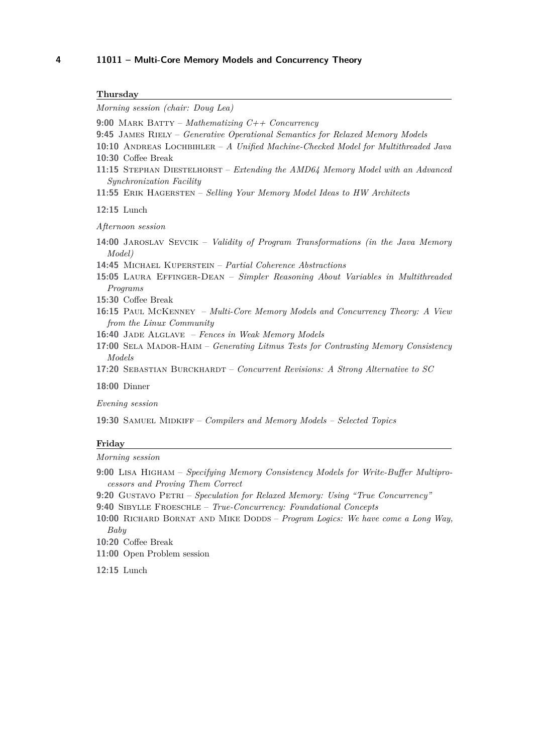| Thursday                                                                                                                                                                                                                                                                                                                                                                                                                               |
|----------------------------------------------------------------------------------------------------------------------------------------------------------------------------------------------------------------------------------------------------------------------------------------------------------------------------------------------------------------------------------------------------------------------------------------|
| Morning session (chair: Doug Lea)                                                                                                                                                                                                                                                                                                                                                                                                      |
| 9:00 MARK BATTY – Mathematizing $C++$ Concurrency<br>9:45 JAMES RIELY - Generative Operational Semantics for Relaxed Memory Models<br>10:10 ANDREAS LOCHBIHLER - A Unified Machine-Checked Model for Multithreaded Java<br>10:30 Coffee Break<br>11:15 STEPHAN DIESTELHORST – Extending the AMD64 Memory Model with an Advanced<br>Synchronization Facility<br>11:55 ERIK HAGERSTEN – Selling Your Memory Model Ideas to HW Architects |
| $12:15$ Lunch                                                                                                                                                                                                                                                                                                                                                                                                                          |
| Afternoon session<br>14:00 JAROSLAV SEVCIK - Validity of Program Transformations (in the Java Memory                                                                                                                                                                                                                                                                                                                                   |
| <i>Model</i> )<br>14:45 MICHAEL KUPERSTEIN - Partial Coherence Abstractions<br>15:05 LAURA EFFINGER-DEAN - Simpler Reasoning About Variables in Multithreadea<br>Programs                                                                                                                                                                                                                                                              |
| 15:30 Coffee Break<br>16:15 PAUL MCKENNEY - Multi-Core Memory Models and Concurrency Theory: A View<br>from the Linux Community                                                                                                                                                                                                                                                                                                        |
| 16:40 JADE ALGLAVE - Fences in Weak Memory Models<br>17:00 SELA MADOR-HAIM – Generating Litmus Tests for Contrasting Memory Consistency<br>Models                                                                                                                                                                                                                                                                                      |
| 17:20 SEBASTIAN BURCKHARDT – Concurrent Revisions: A Strong Alternative to SC                                                                                                                                                                                                                                                                                                                                                          |
| <b>18:00 Dinner</b>                                                                                                                                                                                                                                                                                                                                                                                                                    |
| Evening session                                                                                                                                                                                                                                                                                                                                                                                                                        |
| 19:30 SAMUEL MIDKIFF - Compilers and Memory Models - Selected Topics                                                                                                                                                                                                                                                                                                                                                                   |

# **Friday**

*Morning session*

- **9:00** Lisa Higham *[Specifying Memory Consistency Models for Write-Buffer Multipro](#page-13-1)[cessors and Proving Them Correct](#page-13-1)*
- **9:20** Gustavo Petri *[Speculation for Relaxed Memory: Using "True Concurrency"](#page-19-1)* **9:40** Sibylle Froeschle – *[True-Concurrency: Foundational Concepts](#page-12-2)*
- 10:00 RICHARD BORNAT AND MIKE DODDS *Program Logics: We have come a Long Way*, *[Baby](#page-8-2)*
- **10:20** Coffee Break
- **11:00** Open Problem session
- **12:15** Lunch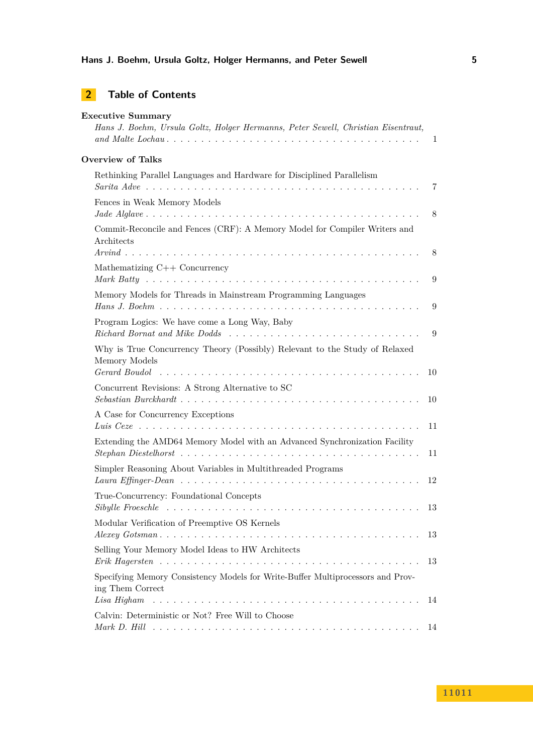# **Hans J. Boehm, Ursula Goltz, Holger Hermanns, and Peter Sewell 5**

# **2 Table of Contents**

| <b>Executive Summary</b><br>Hans J. Boehm, Ursula Goltz, Holger Hermanns, Peter Sewell, Christian Eisentraut,                                                                                             | 1  |
|-----------------------------------------------------------------------------------------------------------------------------------------------------------------------------------------------------------|----|
|                                                                                                                                                                                                           |    |
| <b>Overview of Talks</b>                                                                                                                                                                                  |    |
| Rethinking Parallel Languages and Hardware for Disciplined Parallelism                                                                                                                                    | 7  |
| Fences in Weak Memory Models                                                                                                                                                                              | 8  |
| Commit-Reconcile and Fences (CRF): A Memory Model for Compiler Writers and<br>Architects                                                                                                                  | 8  |
| Mathematizing $C++$ Concurrency                                                                                                                                                                           |    |
| Memory Models for Threads in Mainstream Programming Languages                                                                                                                                             | 9  |
|                                                                                                                                                                                                           | 9  |
| Program Logics: We have come a Long Way, Baby                                                                                                                                                             | 9  |
| Why is True Concurrency Theory (Possibly) Relevant to the Study of Relaxed<br>Memory Models<br>Gerard Boudol $\ldots \ldots \ldots \ldots \ldots \ldots \ldots \ldots \ldots \ldots \ldots \ldots \ldots$ | 10 |
| Concurrent Revisions: A Strong Alternative to SC                                                                                                                                                          |    |
| A Case for Concurrency Exceptions                                                                                                                                                                         | 11 |
| Extending the AMD64 Memory Model with an Advanced Synchronization Facility                                                                                                                                | 11 |
| Simpler Reasoning About Variables in Multithreaded Programs                                                                                                                                               |    |
| True-Concurrency: Foundational Concepts                                                                                                                                                                   | 12 |
|                                                                                                                                                                                                           | 13 |
| Modular Verification of Preemptive OS Kernels                                                                                                                                                             |    |
| Selling Your Memory Model Ideas to HW Architects                                                                                                                                                          | 13 |
| Specifying Memory Consistency Models for Write-Buffer Multiprocessors and Prov-<br>ing Them Correct                                                                                                       |    |
|                                                                                                                                                                                                           |    |
| Calvin: Deterministic or Not? Free Will to Choose                                                                                                                                                         |    |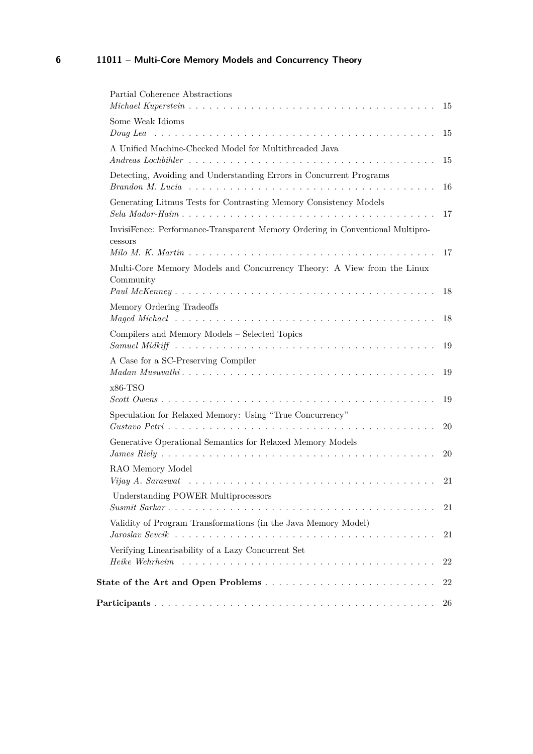| Partial Coherence Abstractions                         |                                                                                                                                                                                    | -15  |
|--------------------------------------------------------|------------------------------------------------------------------------------------------------------------------------------------------------------------------------------------|------|
| Some Weak Idioms                                       |                                                                                                                                                                                    |      |
|                                                        |                                                                                                                                                                                    |      |
| A Unified Machine-Checked Model for Multithreaded Java |                                                                                                                                                                                    |      |
|                                                        | Andreas Lochbihler $\ldots \ldots \ldots \ldots \ldots \ldots \ldots \ldots \ldots \ldots \ldots \ldots$                                                                           | 15   |
|                                                        | Detecting, Avoiding and Understanding Errors in Concurrent Programs<br>$\mathit{Brandon}\ M.$ Lucia $\ldots \ldots \ldots \ldots \ldots \ldots \ldots \ldots \ldots \ldots \ldots$ | - 16 |
|                                                        | Generating Litmus Tests for Contrasting Memory Consistency Models                                                                                                                  | 17   |
|                                                        | InvisiFence: Performance-Transparent Memory Ordering in Conventional Multipro-                                                                                                     |      |
| cessors                                                |                                                                                                                                                                                    | -17  |
| Community                                              | Multi-Core Memory Models and Concurrency Theory: A View from the Linux                                                                                                             |      |
|                                                        |                                                                                                                                                                                    |      |
| Memory Ordering Tradeoffs                              |                                                                                                                                                                                    |      |
| Compilers and Memory Models - Selected Topics          |                                                                                                                                                                                    |      |
| A Case for a SC-Preserving Compiler                    |                                                                                                                                                                                    |      |
|                                                        |                                                                                                                                                                                    |      |
| $x86-TSO$                                              |                                                                                                                                                                                    |      |
|                                                        |                                                                                                                                                                                    |      |
|                                                        | Speculation for Relaxed Memory: Using "True Concurrency"                                                                                                                           |      |
|                                                        |                                                                                                                                                                                    | 20   |
|                                                        | Generative Operational Semantics for Relaxed Memory Models                                                                                                                         |      |
|                                                        |                                                                                                                                                                                    | 20   |
| RAO Memory Model                                       |                                                                                                                                                                                    |      |
|                                                        | Vijay A. Saraswat $\ldots \ldots \ldots \ldots \ldots \ldots \ldots \ldots \ldots \ldots \ldots \ldots$                                                                            | 21   |
| Understanding POWER Multiprocessors                    |                                                                                                                                                                                    | 21   |
|                                                        |                                                                                                                                                                                    |      |
|                                                        | Validity of Program Transformations (in the Java Memory Model)                                                                                                                     | 21   |
| Verifying Linearisability of a Lazy Concurrent Set     |                                                                                                                                                                                    |      |
|                                                        | Heike Wehrheim $\ldots \ldots \ldots \ldots \ldots \ldots \ldots \ldots \ldots \ldots \ldots \ldots$                                                                               | 22   |
|                                                        |                                                                                                                                                                                    | 22   |
|                                                        |                                                                                                                                                                                    | 26   |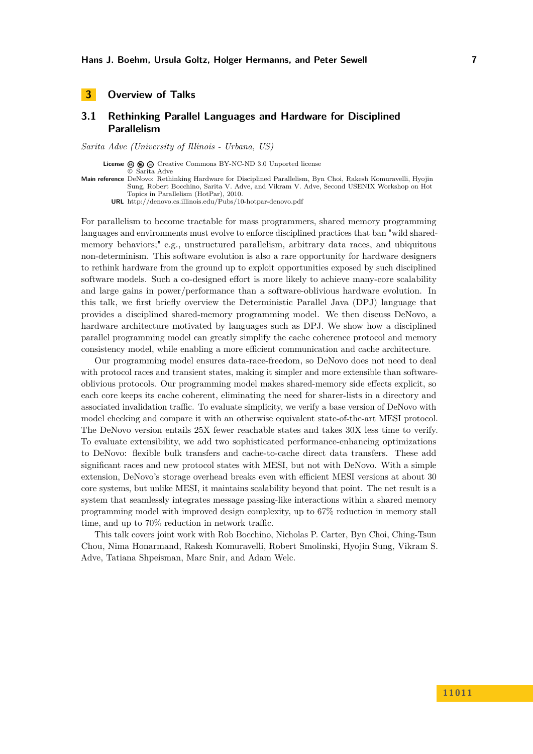# <span id="page-6-1"></span><span id="page-6-0"></span>**3.1 Rethinking Parallel Languages and Hardware for Disciplined Parallelism**

*Sarita Adve (University of Illinois - Urbana, US)*

**License**  $\textcircled{e}$   $\textcircled{e}$  [Creative Commons BY-NC-ND 3.0 Unported](http://creativecommons.org/licenses/by-nc-nd/3.0/) license © [Sarita Adve](#page-6-0)

**Main reference** [DeNovo: Rethinking Hardware for Disciplined Parallelism, Byn Choi, Rakesh Komuravelli, Hyojin](http://denovo.cs.illinois.edu/Pubs/10-hotpar-denovo.pdf) [Sung, Robert Bocchino, Sarita V. Adve, and Vikram V. Adve, Second USENIX Workshop on Hot](http://denovo.cs.illinois.edu/Pubs/10-hotpar-denovo.pdf) [Topics in Parallelism \(HotPar\), 2010.](http://denovo.cs.illinois.edu/Pubs/10-hotpar-denovo.pdf)

**URL** <http://denovo.cs.illinois.edu/Pubs/10-hotpar-denovo.pdf>

For parallelism to become tractable for mass programmers, shared memory programming languages and environments must evolve to enforce disciplined practices that ban "wild sharedmemory behaviors;" e.g., unstructured parallelism, arbitrary data races, and ubiquitous non-determinism. This software evolution is also a rare opportunity for hardware designers to rethink hardware from the ground up to exploit opportunities exposed by such disciplined software models. Such a co-designed effort is more likely to achieve many-core scalability and large gains in power/performance than a software-oblivious hardware evolution. In this talk, we first briefly overview the Deterministic Parallel Java (DPJ) language that provides a disciplined shared-memory programming model. We then discuss DeNovo, a hardware architecture motivated by languages such as DPJ. We show how a disciplined parallel programming model can greatly simplify the cache coherence protocol and memory consistency model, while enabling a more efficient communication and cache architecture.

Our programming model ensures data-race-freedom, so DeNovo does not need to deal with protocol races and transient states, making it simpler and more extensible than softwareoblivious protocols. Our programming model makes shared-memory side effects explicit, so each core keeps its cache coherent, eliminating the need for sharer-lists in a directory and associated invalidation traffic. To evaluate simplicity, we verify a base version of DeNovo with model checking and compare it with an otherwise equivalent state-of-the-art MESI protocol. The DeNovo version entails 25X fewer reachable states and takes 30X less time to verify. To evaluate extensibility, we add two sophisticated performance-enhancing optimizations to DeNovo: flexible bulk transfers and cache-to-cache direct data transfers. These add significant races and new protocol states with MESI, but not with DeNovo. With a simple extension, DeNovo's storage overhead breaks even with efficient MESI versions at about 30 core systems, but unlike MESI, it maintains scalability beyond that point. The net result is a system that seamlessly integrates message passing-like interactions within a shared memory programming model with improved design complexity, up to 67% reduction in memory stall time, and up to 70% reduction in network traffic.

This talk covers joint work with Rob Bocchino, Nicholas P. Carter, Byn Choi, Ching-Tsun Chou, Nima Honarmand, Rakesh Komuravelli, Robert Smolinski, Hyojin Sung, Vikram S. Adve, Tatiana Shpeisman, Marc Snir, and Adam Welc.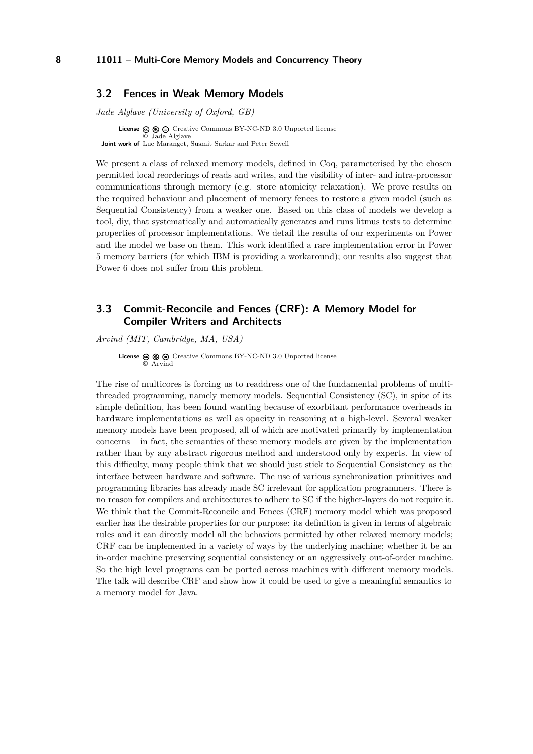#### <span id="page-7-1"></span>**3.2 Fences in Weak Memory Models**

*Jade Alglave (University of Oxford, GB)*

**License**  $\textcircled{e}$   $\textcircled{e}$   $\textcircled{f}$  [Creative Commons BY-NC-ND 3.0 Unported](http://creativecommons.org/licenses/by-nc-nd/3.0/) license © [Jade Alglave](#page-7-1) **Joint work of** Luc Maranget, Susmit Sarkar and Peter Sewell

We present a class of relaxed memory models, defined in Coq, parameterised by the chosen permitted local reorderings of reads and writes, and the visibility of inter- and intra-processor communications through memory (e.g. store atomicity relaxation). We prove results on the required behaviour and placement of memory fences to restore a given model (such as Sequential Consistency) from a weaker one. Based on this class of models we develop a tool, diy, that systematically and automatically generates and runs litmus tests to determine properties of processor implementations. We detail the results of our experiments on Power and the model we base on them. This work identified a rare implementation error in Power 5 memory barriers (for which IBM is providing a workaround); our results also suggest that Power 6 does not suffer from this problem.

# <span id="page-7-0"></span>**3.3 Commit-Reconcile and Fences (CRF): A Memory Model for Compiler Writers and Architects**

*Arvind (MIT, Cambridge, MA, USA)*

**License**  $\textcircled{e}$   $\textcircled{e}$   $\textcircled{e}$  [Creative Commons BY-NC-ND 3.0 Unported](http://creativecommons.org/licenses/by-nc-nd/3.0/) license © [Arvind](#page-7-0)

The rise of multicores is forcing us to readdress one of the fundamental problems of multithreaded programming, namely memory models. Sequential Consistency (SC), in spite of its simple definition, has been found wanting because of exorbitant performance overheads in hardware implementations as well as opacity in reasoning at a high-level. Several weaker memory models have been proposed, all of which are motivated primarily by implementation concerns – in fact, the semantics of these memory models are given by the implementation rather than by any abstract rigorous method and understood only by experts. In view of this difficulty, many people think that we should just stick to Sequential Consistency as the interface between hardware and software. The use of various synchronization primitives and programming libraries has already made SC irrelevant for application programmers. There is no reason for compilers and architectures to adhere to SC if the higher-layers do not require it. We think that the Commit-Reconcile and Fences (CRF) memory model which was proposed earlier has the desirable properties for our purpose: its definition is given in terms of algebraic rules and it can directly model all the behaviors permitted by other relaxed memory models; CRF can be implemented in a variety of ways by the underlying machine; whether it be an in-order machine preserving sequential consistency or an aggressively out-of-order machine. So the high level programs can be ported across machines with different memory models. The talk will describe CRF and show how it could be used to give a meaningful semantics to a memory model for Java.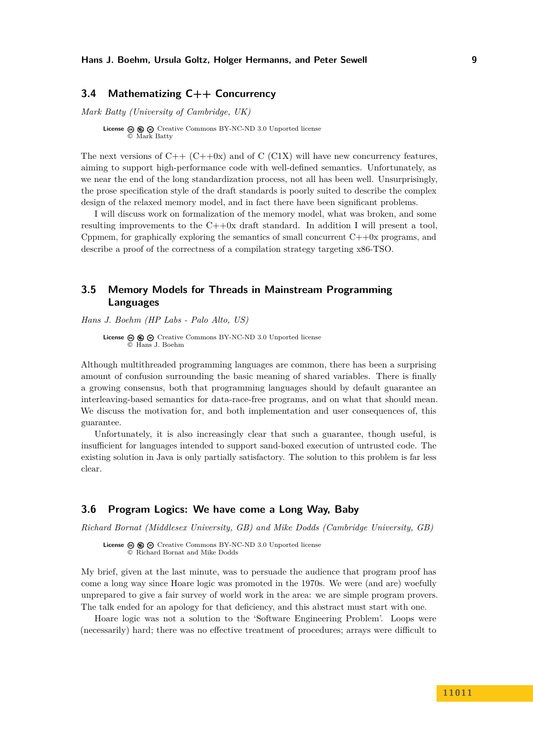### <span id="page-8-1"></span>**3.4 Mathematizing C++ Concurrency**

*Mark Batty (University of Cambridge, UK)*

**License**  $\textcircled{e}$   $\textcircled{e}$   $\textcircled{e}$  [Creative Commons BY-NC-ND 3.0 Unported](http://creativecommons.org/licenses/by-nc-nd/3.0/) license © [Mark Batty](#page-8-1)

The next versions of  $C++ (C++0x)$  and of C (C1X) will have new concurrency features, aiming to support high-performance code with well-defined semantics. Unfortunately, as we near the end of the long standardization process, not all has been well. Unsurprisingly, the prose specification style of the draft standards is poorly suited to describe the complex design of the relaxed memory model, and in fact there have been significant problems.

I will discuss work on formalization of the memory model, what was broken, and some resulting improvements to the C++0x draft standard. In addition I will present a tool, Cppmem, for graphically exploring the semantics of small concurrent  $C++0x$  programs, and describe a proof of the correctness of a compilation strategy targeting x86-TSO.

# <span id="page-8-0"></span>**3.5 Memory Models for Threads in Mainstream Programming Languages**

*Hans J. Boehm (HP Labs - Palo Alto, US)*

License  $\circledcirc \circledcirc \circ$  [Creative Commons BY-NC-ND 3.0 Unported](http://creativecommons.org/licenses/by-nc-nd/3.0/) license © [Hans J. Boehm](#page-8-0)

Although multithreaded programming languages are common, there has been a surprising amount of confusion surrounding the basic meaning of shared variables. There is finally a growing consensus, both that programming languages should by default guarantee an interleaving-based semantics for data-race-free programs, and on what that should mean. We discuss the motivation for, and both implementation and user consequences of, this guarantee.

Unfortunately, it is also increasingly clear that such a guarantee, though useful, is insufficient for languages intended to support sand-boxed execution of untrusted code. The existing solution in Java is only partially satisfactory. The solution to this problem is far less clear.

### <span id="page-8-2"></span>**3.6 Program Logics: We have come a Long Way, Baby**

*Richard Bornat (Middlesex University, GB) and Mike Dodds (Cambridge University, GB)*

License  $\circledcirc \circledcirc \circ$  [Creative Commons BY-NC-ND 3.0 Unported](http://creativecommons.org/licenses/by-nc-nd/3.0/) license © [Richard Bornat and Mike Dodds](#page-8-2)

My brief, given at the last minute, was to persuade the audience that program proof has come a long way since Hoare logic was promoted in the 1970s. We were (and are) woefully unprepared to give a fair survey of world work in the area: we are simple program provers. The talk ended for an apology for that deficiency, and this abstract must start with one.

Hoare logic was not a solution to the 'Software Engineering Problem'. Loops were (necessarily) hard; there was no effective treatment of procedures; arrays were difficult to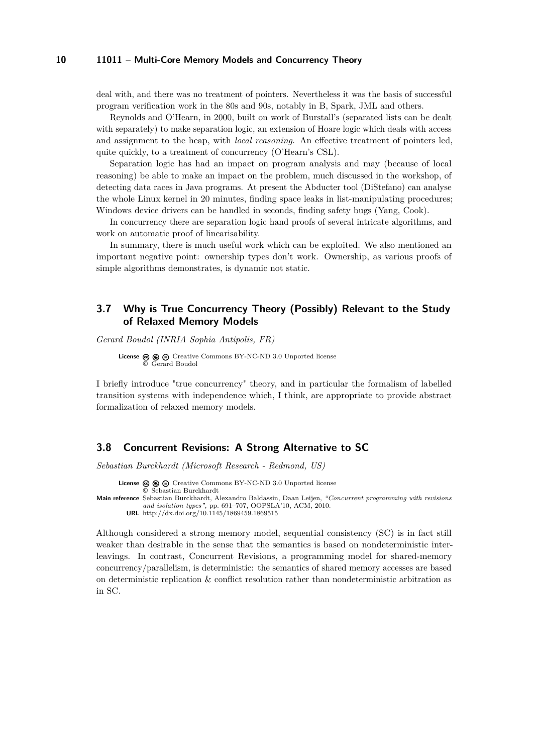deal with, and there was no treatment of pointers. Nevertheless it was the basis of successful program verification work in the 80s and 90s, notably in B, Spark, JML and others.

Reynolds and O'Hearn, in 2000, built on work of Burstall's (separated lists can be dealt with separately) to make separation logic, an extension of Hoare logic which deals with access and assignment to the heap, with *local reasoning*. An effective treatment of pointers led, quite quickly, to a treatment of concurrency (O'Hearn's CSL).

Separation logic has had an impact on program analysis and may (because of local reasoning) be able to make an impact on the problem, much discussed in the workshop, of detecting data races in Java programs. At present the Abducter tool (DiStefano) can analyse the whole Linux kernel in 20 minutes, finding space leaks in list-manipulating procedures; Windows device drivers can be handled in seconds, finding safety bugs (Yang, Cook).

In concurrency there are separation logic hand proofs of several intricate algorithms, and work on automatic proof of linearisability.

In summary, there is much useful work which can be exploited. We also mentioned an important negative point: ownership types don't work. Ownership, as various proofs of simple algorithms demonstrates, is dynamic not static.

# <span id="page-9-0"></span>**3.7 Why is True Concurrency Theory (Possibly) Relevant to the Study of Relaxed Memory Models**

*Gerard Boudol (INRIA Sophia Antipolis, FR)*

License  $\circledcirc \circledcirc \circ$  [Creative Commons BY-NC-ND 3.0 Unported](http://creativecommons.org/licenses/by-nc-nd/3.0/) license © [Gerard Boudol](#page-9-0)

I briefly introduce "true concurrency" theory, and in particular the formalism of labelled transition systems with independence which, I think, are appropriate to provide abstract formalization of relaxed memory models.

# <span id="page-9-1"></span>**3.8 Concurrent Revisions: A Strong Alternative to SC**

*Sebastian Burckhardt (Microsoft Research - Redmond, US)*

License  $\textcircled{a} \textcircled{a} \textcircled{c}$  [Creative Commons BY-NC-ND 3.0 Unported](http://creativecommons.org/licenses/by-nc-nd/3.0/) license © [Sebastian Burckhardt](#page-9-1) **Main reference** [Sebastian Burckhardt, Alexandro Baldassin, Daan Leijen,](http://dx.doi.org/10.1145/1869459.1869515) *"Concurrent programming with revisions*

*and isolation types",* [pp. 691–707, OOPSLA'10, ACM, 2010.](http://dx.doi.org/10.1145/1869459.1869515) **URL** <http://dx.doi.org/10.1145/1869459.1869515>

Although considered a strong memory model, sequential consistency (SC) is in fact still weaker than desirable in the sense that the semantics is based on nondeterministic interleavings. In contrast, Concurrent Revisions, a programming model for shared-memory concurrency/parallelism, is deterministic: the semantics of shared memory accesses are based on deterministic replication & conflict resolution rather than nondeterministic arbitration as in SC.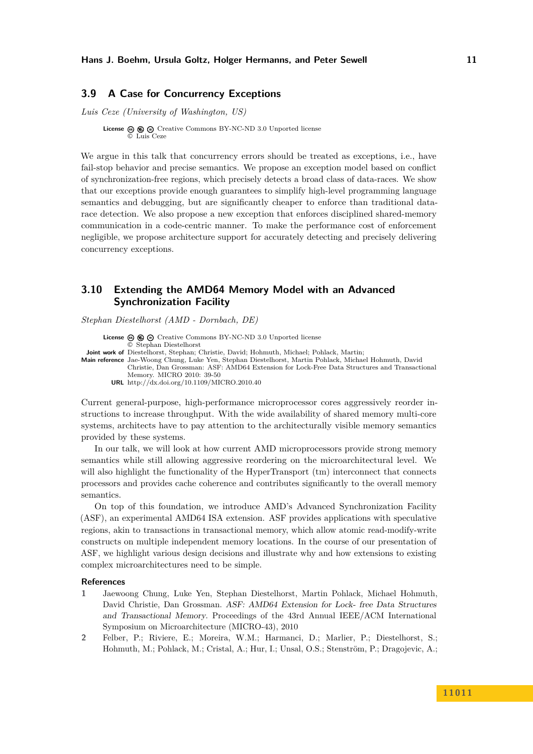### <span id="page-10-0"></span>**3.9 A Case for Concurrency Exceptions**

*Luis Ceze (University of Washington, US)*

**License**  $\textcircled{e}$   $\textcircled{e}$   $\textcircled{e}$  [Creative Commons BY-NC-ND 3.0 Unported](http://creativecommons.org/licenses/by-nc-nd/3.0/) license © [Luis Ceze](#page-10-0)

We argue in this talk that concurrency errors should be treated as exceptions, i.e., have fail-stop behavior and precise semantics. We propose an exception model based on conflict of synchronization-free regions, which precisely detects a broad class of data-races. We show that our exceptions provide enough guarantees to simplify high-level programming language semantics and debugging, but are significantly cheaper to enforce than traditional datarace detection. We also propose a new exception that enforces disciplined shared-memory communication in a code-centric manner. To make the performance cost of enforcement negligible, we propose architecture support for accurately detecting and precisely delivering concurrency exceptions.

# <span id="page-10-1"></span>**3.10 Extending the AMD64 Memory Model with an Advanced Synchronization Facility**

*Stephan Diestelhorst (AMD - Dornbach, DE)*

**License**  $\textcircled{e}$   $\textcircled{e}$   $\textcircled{e}$  [Creative Commons BY-NC-ND 3.0 Unported](http://creativecommons.org/licenses/by-nc-nd/3.0/) license © [Stephan Diestelhorst](#page-10-1) **Joint work of** Diestelhorst, Stephan; Christie, David; Hohmuth, Michael; Pohlack, Martin; **Main reference** [Jae-Woong Chung, Luke Yen, Stephan Diestelhorst, Martin Pohlack, Michael Hohmuth, David](http://dx.doi.org/10.1109/MICRO.2010.40) [Christie, Dan Grossman: ASF: AMD64 Extension for Lock-Free Data Structures and Transactional](http://dx.doi.org/10.1109/MICRO.2010.40)

[Memory. MICRO 2010: 39-50](http://dx.doi.org/10.1109/MICRO.2010.40) **URL** <http://dx.doi.org/10.1109/MICRO.2010.40>

Current general-purpose, high-performance microprocessor cores aggressively reorder instructions to increase throughput. With the wide availability of shared memory multi-core systems, architects have to pay attention to the architecturally visible memory semantics provided by these systems.

In our talk, we will look at how current AMD microprocessors provide strong memory semantics while still allowing aggressive reordering on the microarchitectural level. We will also highlight the functionality of the HyperTransport  $(tm)$  interconnect that connects processors and provides cache coherence and contributes significantly to the overall memory semantics.

On top of this foundation, we introduce AMD's Advanced Synchronization Facility (ASF), an experimental AMD64 ISA extension. ASF provides applications with speculative regions, akin to transactions in transactional memory, which allow atomic read-modify-write constructs on multiple independent memory locations. In the course of our presentation of ASF, we highlight various design decisions and illustrate why and how extensions to existing complex microarchitectures need to be simple.

#### **References**

- **1** Jaewoong Chung, Luke Yen, Stephan Diestelhorst, Martin Pohlack, Michael Hohmuth, David Christie, Dan Grossman. ASF: AMD64 Extension for Lock- free Data Structures and Transactional Memory. Proceedings of the 43rd Annual IEEE/ACM International Symposium on Microarchitecture (MICRO-43), 2010
- **2** Felber, P.; Riviere, E.; Moreira, W.M.; Harmanci, D.; Marlier, P.; Diestelhorst, S.; Hohmuth, M.; Pohlack, M.; Cristal, A.; Hur, I.; Unsal, O.S.; Stenström, P.; Dragojevic, A.;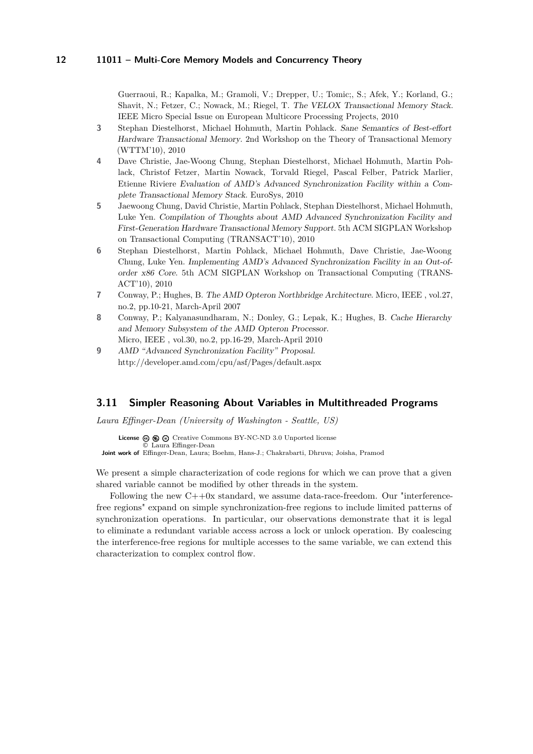Guerraoui, R.; Kapalka, M.; Gramoli, V.; Drepper, U.; Tomic;, S.; Afek, Y.; Korland, G.; Shavit, N.; Fetzer, C.; Nowack, M.; Riegel, T. The VELOX Transactional Memory Stack. IEEE Micro Special Issue on European Multicore Processing Projects, 2010

- **3** Stephan Diestelhorst, Michael Hohmuth, Martin Pohlack. Sane Semantics of Best-effort Hardware Transactional Memory. 2nd Workshop on the Theory of Transactional Memory (WTTM'10), 2010
- **4** Dave Christie, Jae-Woong Chung, Stephan Diestelhorst, Michael Hohmuth, Martin Pohlack, Christof Fetzer, Martin Nowack, Torvald Riegel, Pascal Felber, Patrick Marlier, Etienne Riviere Evaluation of AMD's Advanced Synchronization Facility within a Complete Transactional Memory Stack. EuroSys, 2010
- **5** Jaewoong Chung, David Christie, Martin Pohlack, Stephan Diestelhorst, Michael Hohmuth, Luke Yen. Compilation of Thoughts about AMD Advanced Synchronization Facility and First-Generation Hardware Transactional Memory Support. 5th ACM SIGPLAN Workshop on Transactional Computing (TRANSACT'10), 2010
- **6** Stephan Diestelhorst, Martin Pohlack, Michael Hohmuth, Dave Christie, Jae-Woong Chung, Luke Yen. Implementing AMD's Advanced Synchronization Facility in an Out-oforder x86 Core. 5th ACM SIGPLAN Workshop on Transactional Computing (TRANS-ACT'10), 2010
- **7** Conway, P.; Hughes, B. The AMD Opteron Northbridge Architecture. Micro, IEEE , vol.27, no.2, pp.10-21, March-April 2007
- **8** Conway, P.; Kalyanasundharam, N.; Donley, G.; Lepak, K.; Hughes, B. Cache Hierarchy and Memory Subsystem of the AMD Opteron Processor. Micro, IEEE , vol.30, no.2, pp.16-29, March-April 2010
- **9** AMD "Advanced Synchronization Facility" Proposal. http://developer.amd.com/cpu/asf/Pages/default.aspx

#### <span id="page-11-0"></span>**3.11 Simpler Reasoning About Variables in Multithreaded Programs**

*Laura Effinger-Dean (University of Washington - Seattle, US)*

**License**  $\circledcirc$   $\circledcirc$   $\circlearrowright$  [Creative Commons BY-NC-ND 3.0 Unported](http://creativecommons.org/licenses/by-nc-nd/3.0/) license © [Laura Effinger-Dean](#page-11-0)

**Joint work of** Effinger-Dean, Laura; Boehm, Hans-J.; Chakrabarti, Dhruva; Joisha, Pramod

We present a simple characterization of code regions for which we can prove that a given shared variable cannot be modified by other threads in the system.

Following the new  $C++0x$  standard, we assume data-race-freedom. Our "interferencefree regions" expand on simple synchronization-free regions to include limited patterns of synchronization operations. In particular, our observations demonstrate that it is legal to eliminate a redundant variable access across a lock or unlock operation. By coalescing the interference-free regions for multiple accesses to the same variable, we can extend this characterization to complex control flow.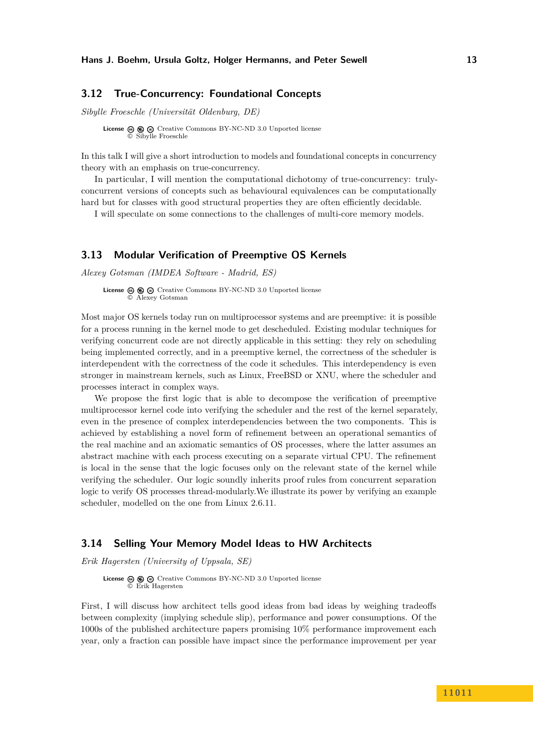### <span id="page-12-2"></span>**3.12 True-Concurrency: Foundational Concepts**

*Sibylle Froeschle (Universität Oldenburg, DE)*

**License**  $\textcircled{e}$   $\textcircled{e}$   $\textcircled{e}$  [Creative Commons BY-NC-ND 3.0 Unported](http://creativecommons.org/licenses/by-nc-nd/3.0/) license © [Sibylle Froeschle](#page-12-2)

In this talk I will give a short introduction to models and foundational concepts in concurrency theory with an emphasis on true-concurrency.

In particular, I will mention the computational dichotomy of true-concurrency: trulyconcurrent versions of concepts such as behavioural equivalences can be computationally hard but for classes with good structural properties they are often efficiently decidable.

I will speculate on some connections to the challenges of multi-core memory models.

### <span id="page-12-0"></span>**3.13 Modular Verification of Preemptive OS Kernels**

*Alexey Gotsman (IMDEA Software - Madrid, ES)*

**License**  $\textcircled{e}$   $\textcircled{e}$   $\textcircled{e}$  [Creative Commons BY-NC-ND 3.0 Unported](http://creativecommons.org/licenses/by-nc-nd/3.0/) license © [Alexey Gotsman](#page-12-0)

Most major OS kernels today run on multiprocessor systems and are preemptive: it is possible for a process running in the kernel mode to get descheduled. Existing modular techniques for verifying concurrent code are not directly applicable in this setting: they rely on scheduling being implemented correctly, and in a preemptive kernel, the correctness of the scheduler is interdependent with the correctness of the code it schedules. This interdependency is even stronger in mainstream kernels, such as Linux, FreeBSD or XNU, where the scheduler and processes interact in complex ways.

We propose the first logic that is able to decompose the verification of preemptive multiprocessor kernel code into verifying the scheduler and the rest of the kernel separately, even in the presence of complex interdependencies between the two components. This is achieved by establishing a novel form of refinement between an operational semantics of the real machine and an axiomatic semantics of OS processes, where the latter assumes an abstract machine with each process executing on a separate virtual CPU. The refinement is local in the sense that the logic focuses only on the relevant state of the kernel while verifying the scheduler. Our logic soundly inherits proof rules from concurrent separation logic to verify OS processes thread-modularly.We illustrate its power by verifying an example scheduler, modelled on the one from Linux 2.6.11.

## <span id="page-12-1"></span>**3.14 Selling Your Memory Model Ideas to HW Architects**

*Erik Hagersten (University of Uppsala, SE)*

**License**  $\textcircled{e}$   $\textcircled{e}$   $\textcircled{e}$  [Creative Commons BY-NC-ND 3.0 Unported](http://creativecommons.org/licenses/by-nc-nd/3.0/) license © [Erik Hagersten](#page-12-1)

First, I will discuss how architect tells good ideas from bad ideas by weighing tradeoffs between complexity (implying schedule slip), performance and power consumptions. Of the 1000s of the published architecture papers promising 10% performance improvement each year, only a fraction can possible have impact since the performance improvement per year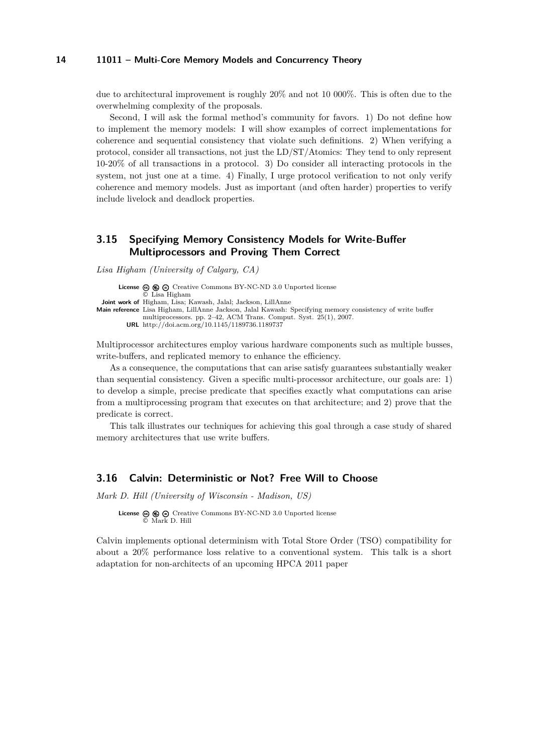due to architectural improvement is roughly 20% and not 10 000%. This is often due to the overwhelming complexity of the proposals.

Second, I will ask the formal method's community for favors. 1) Do not define how to implement the memory models: I will show examples of correct implementations for coherence and sequential consistency that violate such definitions. 2) When verifying a protocol, consider all transactions, not just the LD/ST/Atomics: They tend to only represent 10-20% of all transactions in a protocol. 3) Do consider all interacting protocols in the system, not just one at a time. 4) Finally, I urge protocol verification to not only verify coherence and memory models. Just as important (and often harder) properties to verify include livelock and deadlock properties.

# <span id="page-13-1"></span>**3.15 Specifying Memory Consistency Models for Write-Buffer Multiprocessors and Proving Them Correct**

*Lisa Higham (University of Calgary, CA)*

**License**  $\circledcirc$   $\circledcirc$   $\circlearrowright$  [Creative Commons BY-NC-ND 3.0 Unported](http://creativecommons.org/licenses/by-nc-nd/3.0/) license © [Lisa Higham](#page-13-1) **Joint work of** Higham, Lisa; Kawash, Jalal; Jackson, LillAnne **Main reference** [Lisa Higham, LillAnne Jackson, Jalal Kawash: Specifying memory consistency of write buffer](http://doi.acm.org/10.1145/1189736.1189737) [multiprocessors. pp. 2–42, ACM Trans. Comput. Syst. 25\(1\), 2007.](http://doi.acm.org/10.1145/1189736.1189737) **URL** <http://doi.acm.org/10.1145/1189736.1189737>

Multiprocessor architectures employ various hardware components such as multiple busses, write-buffers, and replicated memory to enhance the efficiency.

As a consequence, the computations that can arise satisfy guarantees substantially weaker than sequential consistency. Given a specific multi-processor architecture, our goals are: 1) to develop a simple, precise predicate that specifies exactly what computations can arise from a multiprocessing program that executes on that architecture; and 2) prove that the predicate is correct.

This talk illustrates our techniques for achieving this goal through a case study of shared memory architectures that use write buffers.

#### <span id="page-13-0"></span>**3.16 Calvin: Deterministic or Not? Free Will to Choose**

*Mark D. Hill (University of Wisconsin - Madison, US)*

**License**  $\textcircled{e}$   $\textcircled{e}$   $\textcircled{f}$  [Creative Commons BY-NC-ND 3.0 Unported](http://creativecommons.org/licenses/by-nc-nd/3.0/) license © [Mark D. Hill](#page-13-0)

Calvin implements optional determinism with Total Store Order (TSO) compatibility for about a 20% performance loss relative to a conventional system. This talk is a short adaptation for non-architects of an upcoming HPCA 2011 paper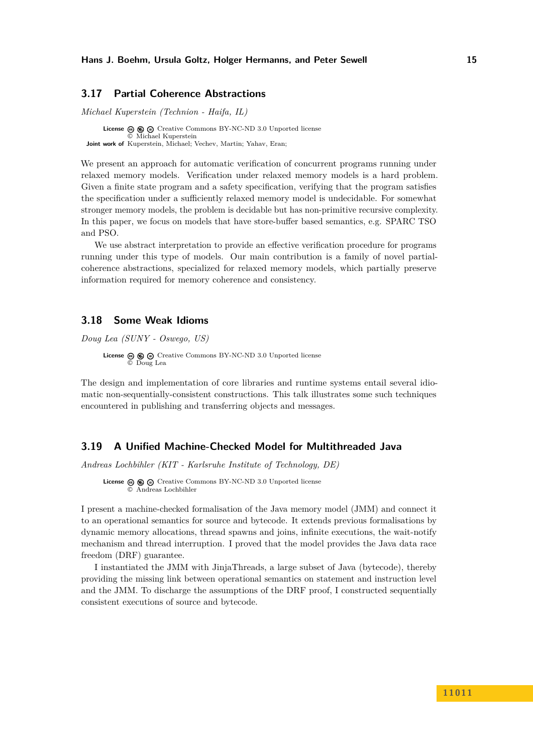#### <span id="page-14-2"></span>**3.17 Partial Coherence Abstractions**

*Michael Kuperstein (Technion - Haifa, IL)*

**License**  $\textcircled{e}$   $\textcircled{e}$   $\textcircled{e}$  [Creative Commons BY-NC-ND 3.0 Unported](http://creativecommons.org/licenses/by-nc-nd/3.0/) license © [Michael Kuperstein](#page-14-2) **Joint work of** Kuperstein, Michael; Vechev, Martin; Yahav, Eran;

We present an approach for automatic verification of concurrent programs running under relaxed memory models. Verification under relaxed memory models is a hard problem. Given a finite state program and a safety specification, verifying that the program satisfies the specification under a sufficiently relaxed memory model is undecidable. For somewhat stronger memory models, the problem is decidable but has non-primitive recursive complexity. In this paper, we focus on models that have store-buffer based semantics, e.g. SPARC TSO and PSO.

We use abstract interpretation to provide an effective verification procedure for programs running under this type of models. Our main contribution is a family of novel partialcoherence abstractions, specialized for relaxed memory models, which partially preserve information required for memory coherence and consistency.

## <span id="page-14-0"></span>**3.18 Some Weak Idioms**

*Doug Lea (SUNY - Oswego, US)*

License  $\circledast \circledast \circledast$  [Creative Commons BY-NC-ND 3.0 Unported](http://creativecommons.org/licenses/by-nc-nd/3.0/) license © [Doug Lea](#page-14-0)

The design and implementation of core libraries and runtime systems entail several idiomatic non-sequentially-consistent constructions. This talk illustrates some such techniques encountered in publishing and transferring objects and messages.

# <span id="page-14-1"></span>**3.19 A Unified Machine-Checked Model for Multithreaded Java**

*Andreas Lochbihler (KIT - Karlsruhe Institute of Technology, DE)*

**License**  $\circledcirc$   $\circledcirc$   $\circlearrowright$  [Creative Commons BY-NC-ND 3.0 Unported](http://creativecommons.org/licenses/by-nc-nd/3.0/) license © [Andreas Lochbihler](#page-14-1)

I present a machine-checked formalisation of the Java memory model (JMM) and connect it to an operational semantics for source and bytecode. It extends previous formalisations by dynamic memory allocations, thread spawns and joins, infinite executions, the wait-notify mechanism and thread interruption. I proved that the model provides the Java data race freedom (DRF) guarantee.

I instantiated the JMM with JinjaThreads, a large subset of Java (bytecode), thereby providing the missing link between operational semantics on statement and instruction level and the JMM. To discharge the assumptions of the DRF proof, I constructed sequentially consistent executions of source and bytecode.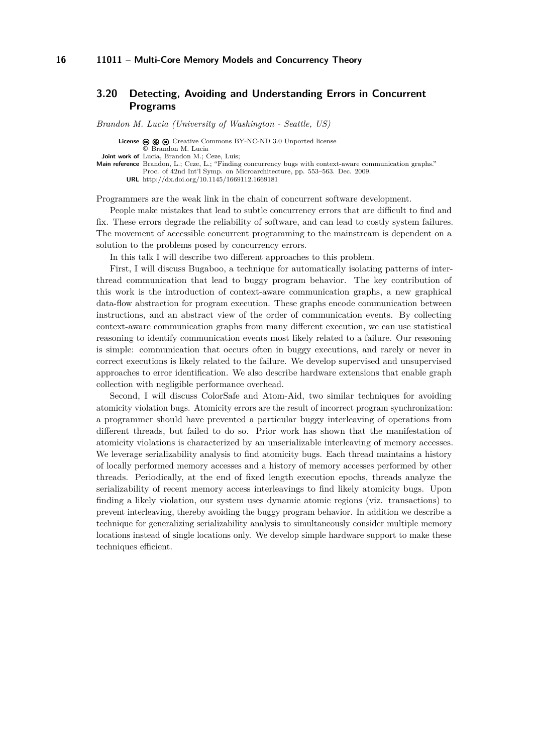# <span id="page-15-0"></span>**3.20 Detecting, Avoiding and Understanding Errors in Concurrent Programs**

*Brandon M. Lucia (University of Washington - Seattle, US)*

License  $\circledcirc$   $\circledcirc$   $\circ$  [Creative Commons BY-NC-ND 3.0 Unported](http://creativecommons.org/licenses/by-nc-nd/3.0/) license © [Brandon M. Lucia](#page-15-0) **Joint work of** Lucia, Brandon M.; Ceze, Luis; **Main reference** [Brandon, L.; Ceze, L.; "Finding concurrency bugs with context-aware communication graphs."](http://dx.doi.org/10.1145/1669112.1669181)

[Proc. of 42nd Int'l Symp. on Microarchitecture, pp. 553–563. Dec. 2009.](http://dx.doi.org/10.1145/1669112.1669181)

**URL** <http://dx.doi.org/10.1145/1669112.1669181>

Programmers are the weak link in the chain of concurrent software development.

People make mistakes that lead to subtle concurrency errors that are difficult to find and fix. These errors degrade the reliability of software, and can lead to costly system failures. The movement of accessible concurrent programming to the mainstream is dependent on a solution to the problems posed by concurrency errors.

In this talk I will describe two different approaches to this problem.

First, I will discuss Bugaboo, a technique for automatically isolating patterns of interthread communication that lead to buggy program behavior. The key contribution of this work is the introduction of context-aware communication graphs, a new graphical data-flow abstraction for program execution. These graphs encode communication between instructions, and an abstract view of the order of communication events. By collecting context-aware communication graphs from many different execution, we can use statistical reasoning to identify communication events most likely related to a failure. Our reasoning is simple: communication that occurs often in buggy executions, and rarely or never in correct executions is likely related to the failure. We develop supervised and unsupervised approaches to error identification. We also describe hardware extensions that enable graph collection with negligible performance overhead.

Second, I will discuss ColorSafe and Atom-Aid, two similar techniques for avoiding atomicity violation bugs. Atomicity errors are the result of incorrect program synchronization: a programmer should have prevented a particular buggy interleaving of operations from different threads, but failed to do so. Prior work has shown that the manifestation of atomicity violations is characterized by an unserializable interleaving of memory accesses. We leverage serializability analysis to find atomicity bugs. Each thread maintains a history of locally performed memory accesses and a history of memory accesses performed by other threads. Periodically, at the end of fixed length execution epochs, threads analyze the serializability of recent memory access interleavings to find likely atomicity bugs. Upon finding a likely violation, our system uses dynamic atomic regions (viz. transactions) to prevent interleaving, thereby avoiding the buggy program behavior. In addition we describe a technique for generalizing serializability analysis to simultaneously consider multiple memory locations instead of single locations only. We develop simple hardware support to make these techniques efficient.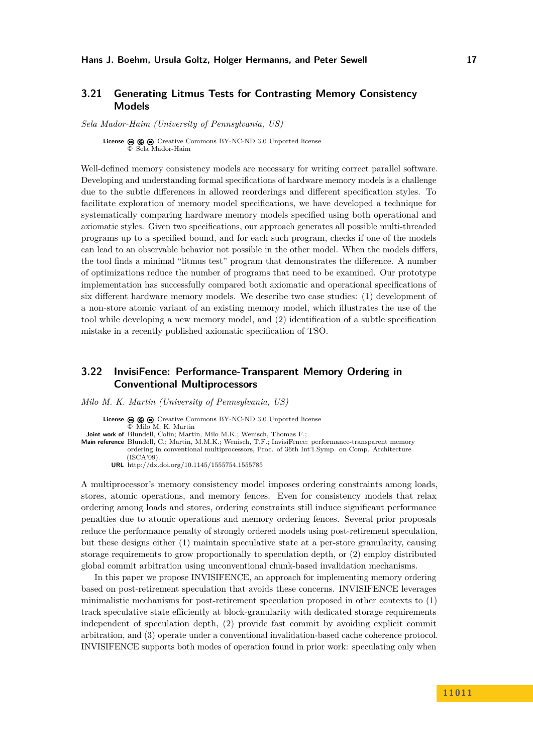# <span id="page-16-1"></span>**3.21 Generating Litmus Tests for Contrasting Memory Consistency Models**

*Sela Mador-Haim (University of Pennsylvania, US)*

**License**  $\circledcirc$   $\circledcirc$   $\circlearrowright$  [Creative Commons BY-NC-ND 3.0 Unported](http://creativecommons.org/licenses/by-nc-nd/3.0/) license © [Sela Mador-Haim](#page-16-1)

Well-defined memory consistency models are necessary for writing correct parallel software. Developing and understanding formal specifications of hardware memory models is a challenge due to the subtle differences in allowed reorderings and different specification styles. To facilitate exploration of memory model specifications, we have developed a technique for systematically comparing hardware memory models specified using both operational and axiomatic styles. Given two specifications, our approach generates all possible multi-threaded programs up to a specified bound, and for each such program, checks if one of the models can lead to an observable behavior not possible in the other model. When the models differs, the tool finds a minimal "litmus test" program that demonstrates the difference. A number of optimizations reduce the number of programs that need to be examined. Our prototype implementation has successfully compared both axiomatic and operational specifications of six different hardware memory models. We describe two case studies: (1) development of a non-store atomic variant of an existing memory model, which illustrates the use of the tool while developing a new memory model, and (2) identification of a subtle specification mistake in a recently published axiomatic specification of TSO.

# <span id="page-16-0"></span>**3.22 InvisiFence: Performance-Transparent Memory Ordering in Conventional Multiprocessors**

*Milo M. K. Martin (University of Pennsylvania, US)*

License  $\circledcirc$   $\circledcirc$   $\circ$  [Creative Commons BY-NC-ND 3.0 Unported](http://creativecommons.org/licenses/by-nc-nd/3.0/) license

© [Milo M. K. Martin](#page-16-0)

**Joint work of** Blundell, Colin; Martin, Milo M.K.; Wenisch, Thomas F.;

**Main reference** [Blundell, C.; Martin, M.M.K.; Wenisch, T.F.; InvisiFence: performance-transparent memory](http://dx.doi.org/10.1145/1555754.1555785) [ordering in conventional multiprocessors, Proc. of 36th Int'l Symp. on Comp. Architecture](http://dx.doi.org/10.1145/1555754.1555785)  $(ISCA'09)$ . **URL** <http://dx.doi.org/10.1145/1555754.1555785>

A multiprocessor's memory consistency model imposes ordering constraints among loads, stores, atomic operations, and memory fences. Even for consistency models that relax ordering among loads and stores, ordering constraints still induce significant performance penalties due to atomic operations and memory ordering fences. Several prior proposals reduce the performance penalty of strongly ordered models using post-retirement speculation, but these designs either (1) maintain speculative state at a per-store granularity, causing storage requirements to grow proportionally to speculation depth, or (2) employ distributed global commit arbitration using unconventional chunk-based invalidation mechanisms.

In this paper we propose INVISIFENCE, an approach for implementing memory ordering based on post-retirement speculation that avoids these concerns. INVISIFENCE leverages minimalistic mechanisms for post-retirement speculation proposed in other contexts to (1) track speculative state efficiently at block-granularity with dedicated storage requirements independent of speculation depth, (2) provide fast commit by avoiding explicit commit arbitration, and (3) operate under a conventional invalidation-based cache coherence protocol. INVISIFENCE supports both modes of operation found in prior work: speculating only when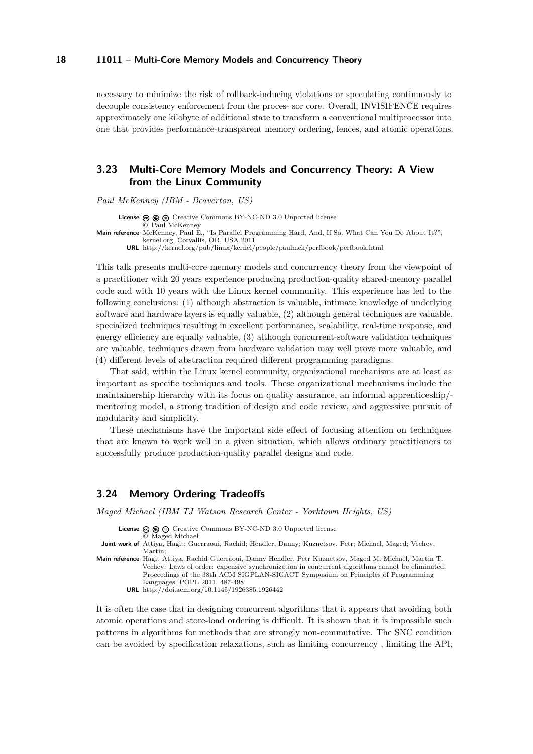necessary to minimize the risk of rollback-inducing violations or speculating continuously to decouple consistency enforcement from the proces- sor core. Overall, INVISIFENCE requires approximately one kilobyte of additional state to transform a conventional multiprocessor into one that provides performance-transparent memory ordering, fences, and atomic operations.

# <span id="page-17-1"></span>**3.23 Multi-Core Memory Models and Concurrency Theory: A View from the Linux Community**

*Paul McKenney (IBM - Beaverton, US)*

**License**  $\textcircled{e}$   $\textcircled{e}$   $\textcircled{e}$  [Creative Commons BY-NC-ND 3.0 Unported](http://creativecommons.org/licenses/by-nc-nd/3.0/) license © [Paul McKenney](#page-17-1) **Main reference** [McKenney, Paul E., "Is Parallel Programming Hard, And, If So, What Can You Do About It?",](http://kernel.org/pub/linux/kernel/people/paulmck/perfbook/perfbook.html) [kernel.org, Corvallis, OR, USA 2011.](http://kernel.org/pub/linux/kernel/people/paulmck/perfbook/perfbook.html) **URL** <http://kernel.org/pub/linux/kernel/people/paulmck/perfbook/perfbook.html>

This talk presents multi-core memory models and concurrency theory from the viewpoint of a practitioner with 20 years experience producing production-quality shared-memory parallel code and with 10 years with the Linux kernel community. This experience has led to the following conclusions: (1) although abstraction is valuable, intimate knowledge of underlying software and hardware layers is equally valuable, (2) although general techniques are valuable, specialized techniques resulting in excellent performance, scalability, real-time response, and energy efficiency are equally valuable, (3) although concurrent-software validation techniques are valuable, techniques drawn from hardware validation may well prove more valuable, and (4) different levels of abstraction required different programming paradigms.

That said, within the Linux kernel community, organizational mechanisms are at least as important as specific techniques and tools. These organizational mechanisms include the maintainership hierarchy with its focus on quality assurance, an informal apprenticeship/ mentoring model, a strong tradition of design and code review, and aggressive pursuit of modularity and simplicity.

These mechanisms have the important side effect of focusing attention on techniques that are known to work well in a given situation, which allows ordinary practitioners to successfully produce production-quality parallel designs and code.

# <span id="page-17-0"></span>**3.24 Memory Ordering Tradeoffs**

*Maged Michael (IBM TJ Watson Research Center - Yorktown Heights, US)*

**License**  $\odot$   $\odot$   $\odot$  [Creative Commons BY-NC-ND 3.0 Unported](http://creativecommons.org/licenses/by-nc-nd/3.0/) license

© [Maged Michael](#page-17-0)

**Joint work of** Attiya, Hagit; Guerraoui, Rachid; Hendler, Danny; Kuznetsov, Petr; Michael, Maged; Vechev, Martin;

**Main reference** [Hagit Attiya, Rachid Guerraoui, Danny Hendler, Petr Kuznetsov, Maged M. Michael, Martin T.](http://doi.acm.org/10.1145/1926385.1926442) [Vechev: Laws of order: expensive synchronization in concurrent algorithms cannot be eliminated.](http://doi.acm.org/10.1145/1926385.1926442) [Proceedings of the 38th ACM SIGPLAN-SIGACT Symposium on Principles of Programming](http://doi.acm.org/10.1145/1926385.1926442) [Languages, POPL 2011, 487-498](http://doi.acm.org/10.1145/1926385.1926442)

**URL** <http://doi.acm.org/10.1145/1926385.1926442>

It is often the case that in designing concurrent algorithms that it appears that avoiding both atomic operations and store-load ordering is difficult. It is shown that it is impossible such patterns in algorithms for methods that are strongly non-commutative. The SNC condition can be avoided by specification relaxations, such as limiting concurrency , limiting the API,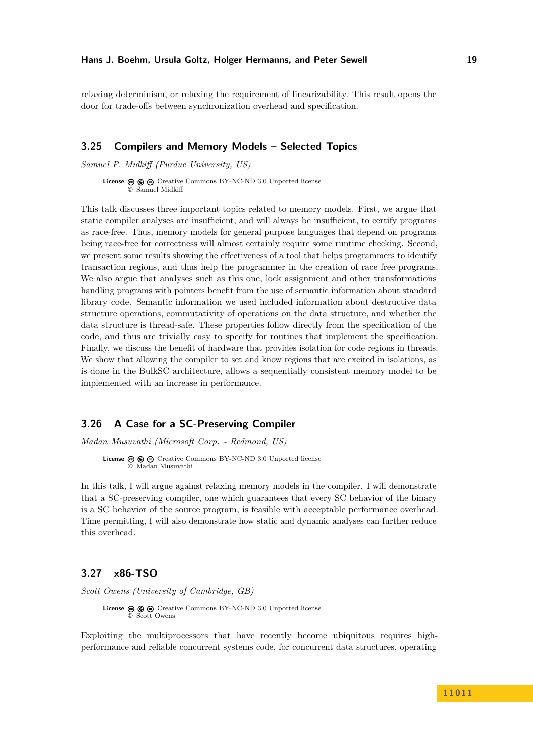relaxing determinism, or relaxing the requirement of linearizability. This result opens the door for trade-offs between synchronization overhead and specification.

### <span id="page-18-2"></span>**3.25 Compilers and Memory Models – Selected Topics**

*Samuel P. Midkiff (Purdue University, US)*

**License**  $\textcircled{e}$   $\textcircled{e}$   $\textcircled{e}$  [Creative Commons BY-NC-ND 3.0 Unported](http://creativecommons.org/licenses/by-nc-nd/3.0/) license © [Samuel Midkiff](#page-18-2)

This talk discusses three important topics related to memory models. First, we argue that static compiler analyses are insufficient, and will always be insufficient, to certify programs as race-free. Thus, memory models for general purpose languages that depend on programs being race-free for correctness will almost certainly require some runtime checking. Second, we present some results showing the effectiveness of a tool that helps programmers to identify transaction regions, and thus help the programmer in the creation of race free programs. We also argue that analyses such as this one, lock assignment and other transformations handling programs with pointers benefit from the use of semantic information about standard library code. Semantic information we used included information about destructive data structure operations, commutativity of operations on the data structure, and whether the data structure is thread-safe. These properties follow directly from the specification of the code, and thus are trivially easy to specify for routines that implement the specification. Finally, we discuss the benefit of hardware that provides isolation for code regions in threads. We show that allowing the compiler to set and know regions that are excited in isolations, as is done in the BulkSC architecture, allows a sequentially consistent memory model to be implemented with an increase in performance.

# <span id="page-18-1"></span>**3.26 A Case for a SC-Preserving Compiler**

*Madan Musuvathi (Microsoft Corp. - Redmond, US)*

**License**  $\textcircled{e}$   $\textcircled{e}$   $\textcircled{e}$  [Creative Commons BY-NC-ND 3.0 Unported](http://creativecommons.org/licenses/by-nc-nd/3.0/) license © [Madan Musuvathi](#page-18-1)

In this talk, I will argue against relaxing memory models in the compiler. I will demonstrate that a SC-preserving compiler, one which guarantees that every SC behavior of the binary is a SC behavior of the source program, is feasible with acceptable performance overhead. Time permitting, I will also demonstrate how static and dynamic analyses can further reduce this overhead.

### <span id="page-18-0"></span>**3.27 x86-TSO**

*Scott Owens (University of Cambridge, GB)*

**License**  $\textcircled{e}$   $\textcircled{e}$  [Creative Commons BY-NC-ND 3.0 Unported](http://creativecommons.org/licenses/by-nc-nd/3.0/) license © [Scott Owens](#page-18-0)

Exploiting the multiprocessors that have recently become ubiquitous requires highperformance and reliable concurrent systems code, for concurrent data structures, operating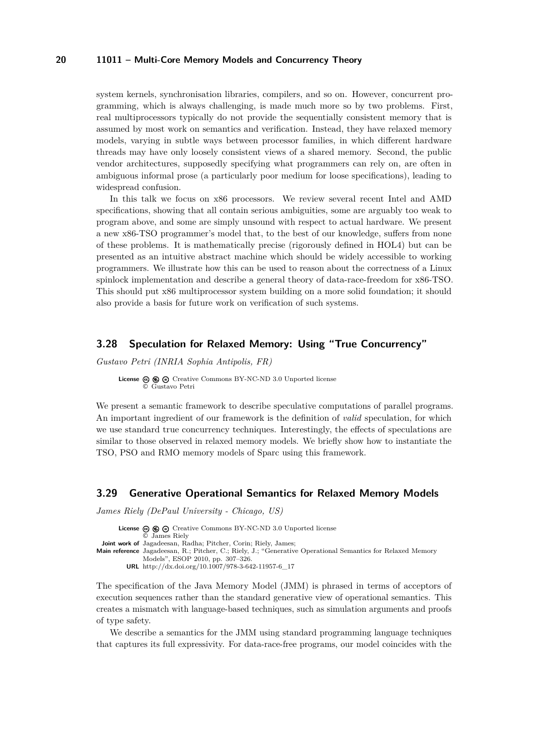system kernels, synchronisation libraries, compilers, and so on. However, concurrent programming, which is always challenging, is made much more so by two problems. First, real multiprocessors typically do not provide the sequentially consistent memory that is assumed by most work on semantics and verification. Instead, they have relaxed memory models, varying in subtle ways between processor families, in which different hardware threads may have only loosely consistent views of a shared memory. Second, the public vendor architectures, supposedly specifying what programmers can rely on, are often in ambiguous informal prose (a particularly poor medium for loose specifications), leading to widespread confusion.

In this talk we focus on x86 processors. We review several recent Intel and AMD specifications, showing that all contain serious ambiguities, some are arguably too weak to program above, and some are simply unsound with respect to actual hardware. We present a new x86-TSO programmer's model that, to the best of our knowledge, suffers from none of these problems. It is mathematically precise (rigorously defined in HOL4) but can be presented as an intuitive abstract machine which should be widely accessible to working programmers. We illustrate how this can be used to reason about the correctness of a Linux spinlock implementation and describe a general theory of data-race-freedom for x86-TSO. This should put x86 multiprocessor system building on a more solid foundation; it should also provide a basis for future work on verification of such systems.

#### <span id="page-19-1"></span>**3.28 Speculation for Relaxed Memory: Using "True Concurrency"**

*Gustavo Petri (INRIA Sophia Antipolis, FR)*

**License**  $\textcircled{e}$   $\textcircled{e}$   $\textcircled{e}$  [Creative Commons BY-NC-ND 3.0 Unported](http://creativecommons.org/licenses/by-nc-nd/3.0/) license © [Gustavo Petri](#page-19-1)

We present a semantic framework to describe speculative computations of parallel programs. An important ingredient of our framework is the definition of *valid* speculation, for which we use standard true concurrency techniques. Interestingly, the effects of speculations are similar to those observed in relaxed memory models. We briefly show how to instantiate the TSO, PSO and RMO memory models of Sparc using this framework.

#### <span id="page-19-0"></span>**3.29 Generative Operational Semantics for Relaxed Memory Models**

*James Riely (DePaul University - Chicago, US)*

License  $\circledcirc \circledcirc \circ$  [Creative Commons BY-NC-ND 3.0 Unported](http://creativecommons.org/licenses/by-nc-nd/3.0/) license © [James Riely](#page-19-0) **Joint work of** Jagadeesan, Radha; Pitcher, Corin; Riely, James; **Main reference** [Jagadeesan, R.; Pitcher, C.; Riely, J.; "Generative Operational Semantics for Relaxed Memory](http://dx.doi.org/10.1007/978-3-642-11957-6_17) [Models", ESOP 2010, pp. 307–326.](http://dx.doi.org/10.1007/978-3-642-11957-6_17) **URL** [http://dx.doi.org/10.1007/978-3-642-11957-6\\_17](http://dx.doi.org/10.1007/978-3-642-11957-6_17)

The specification of the Java Memory Model (JMM) is phrased in terms of acceptors of execution sequences rather than the standard generative view of operational semantics. This creates a mismatch with language-based techniques, such as simulation arguments and proofs of type safety.

We describe a semantics for the JMM using standard programming language techniques that captures its full expressivity. For data-race-free programs, our model coincides with the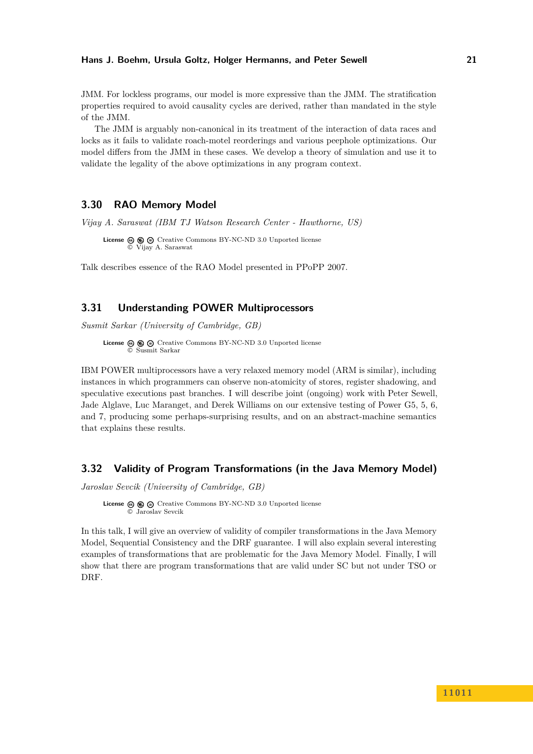#### **Hans J. Boehm, Ursula Goltz, Holger Hermanns, and Peter Sewell 21**

JMM. For lockless programs, our model is more expressive than the JMM. The stratification properties required to avoid causality cycles are derived, rather than mandated in the style of the JMM.

The JMM is arguably non-canonical in its treatment of the interaction of data races and locks as it fails to validate roach-motel reorderings and various peephole optimizations. Our model differs from the JMM in these cases. We develop a theory of simulation and use it to validate the legality of the above optimizations in any program context.

## <span id="page-20-0"></span>**3.30 RAO Memory Model**

*Vijay A. Saraswat (IBM TJ Watson Research Center - Hawthorne, US)*

**License**  $\circledcirc$   $\circledcirc$  [Creative Commons BY-NC-ND 3.0 Unported](http://creativecommons.org/licenses/by-nc-nd/3.0/) license © [Vijay A. Saraswat](#page-20-0)

Talk describes essence of the RAO Model presented in PPoPP 2007.

# <span id="page-20-1"></span>**3.31 Understanding POWER Multiprocessors**

*Susmit Sarkar (University of Cambridge, GB)*

**License**  $\circledcirc$   $\circledcirc$   $\circlearrowright$  [Creative Commons BY-NC-ND 3.0 Unported](http://creativecommons.org/licenses/by-nc-nd/3.0/) license © [Susmit Sarkar](#page-20-1)

IBM POWER multiprocessors have a very relaxed memory model (ARM is similar), including instances in which programmers can observe non-atomicity of stores, register shadowing, and speculative executions past branches. I will describe joint (ongoing) work with Peter Sewell, Jade Alglave, Luc Maranget, and Derek Williams on our extensive testing of Power G5, 5, 6, and 7, producing some perhaps-surprising results, and on an abstract-machine semantics that explains these results.

# <span id="page-20-2"></span>**3.32 Validity of Program Transformations (in the Java Memory Model)**

*Jaroslav Sevcik (University of Cambridge, GB)*

License  $\circledcirc \circledcirc \circ$  [Creative Commons BY-NC-ND 3.0 Unported](http://creativecommons.org/licenses/by-nc-nd/3.0/) license © [Jaroslav Sevcik](#page-20-2)

In this talk, I will give an overview of validity of compiler transformations in the Java Memory Model, Sequential Consistency and the DRF guarantee. I will also explain several interesting examples of transformations that are problematic for the Java Memory Model. Finally, I will show that there are program transformations that are valid under SC but not under TSO or DRF.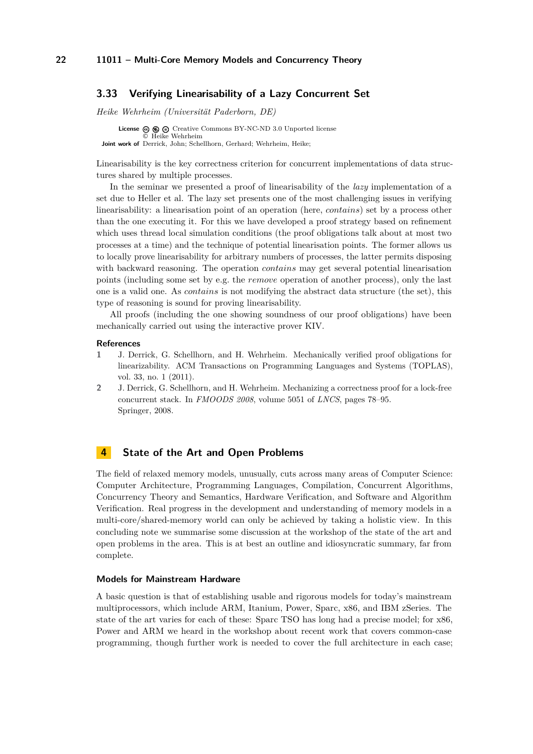### <span id="page-21-0"></span>**3.33 Verifying Linearisability of a Lazy Concurrent Set**

*Heike Wehrheim (Universität Paderborn, DE)*

**License**  $\textcircled{e}$   $\textcircled{e}$   $\textcircled{f}$  [Creative Commons BY-NC-ND 3.0 Unported](http://creativecommons.org/licenses/by-nc-nd/3.0/) license © [Heike Wehrheim](#page-21-0) **Joint work of** Derrick, John; Schellhorn, Gerhard; Wehrheim, Heike;

Linearisability is the key correctness criterion for concurrent implementations of data structures shared by multiple processes.

In the seminar we presented a proof of linearisability of the *lazy* implementation of a set due to Heller et al. The lazy set presents one of the most challenging issues in verifying linearisability: a linearisation point of an operation (here, *contains*) set by a process other than the one executing it. For this we have developed a proof strategy based on refinement which uses thread local simulation conditions (the proof obligations talk about at most two processes at a time) and the technique of potential linearisation points. The former allows us to locally prove linearisability for arbitrary numbers of processes, the latter permits disposing with backward reasoning. The operation *contains* may get several potential linearisation points (including some set by e.g. the *remove* operation of another process), only the last one is a valid one. As *contains* is not modifying the abstract data structure (the set), this type of reasoning is sound for proving linearisability.

All proofs (including the one showing soundness of our proof obligations) have been mechanically carried out using the interactive prover KIV.

#### **References**

- **1** J. Derrick, G. Schellhorn, and H. Wehrheim. Mechanically verified proof obligations for linearizability. ACM Transactions on Programming Languages and Systems (TOPLAS), vol. 33, no. 1 (2011).
- **2** J. Derrick, G. Schellhorn, and H. Wehrheim. Mechanizing a correctness proof for a lock-free concurrent stack. In *FMOODS 2008*, volume 5051 of *LNCS*, pages 78–95. Springer, 2008.

## <span id="page-21-1"></span>**4 State of the Art and Open Problems**

The field of relaxed memory models, unusually, cuts across many areas of Computer Science: Computer Architecture, Programming Languages, Compilation, Concurrent Algorithms, Concurrency Theory and Semantics, Hardware Verification, and Software and Algorithm Verification. Real progress in the development and understanding of memory models in a multi-core/shared-memory world can only be achieved by taking a holistic view. In this concluding note we summarise some discussion at the workshop of the state of the art and open problems in the area. This is at best an outline and idiosyncratic summary, far from complete.

#### **Models for Mainstream Hardware**

A basic question is that of establishing usable and rigorous models for today's mainstream multiprocessors, which include ARM, Itanium, Power, Sparc, x86, and IBM zSeries. The state of the art varies for each of these: Sparc TSO has long had a precise model; for x86, Power and ARM we heard in the workshop about recent work that covers common-case programming, though further work is needed to cover the full architecture in each case;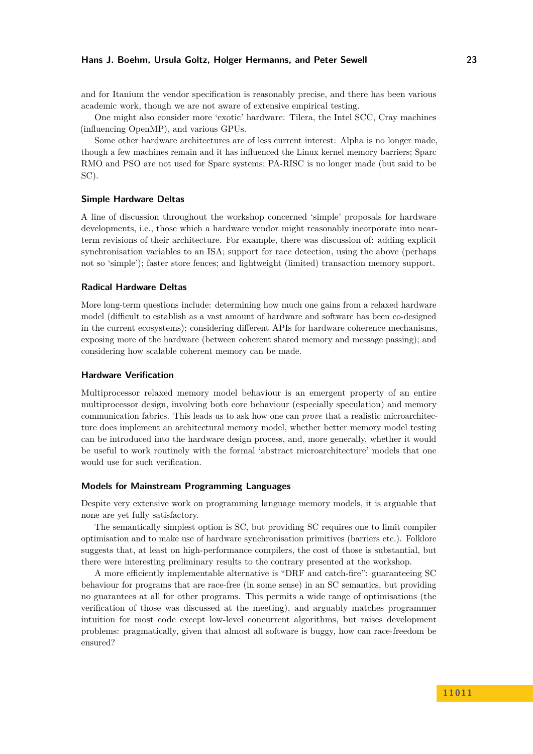#### **Hans J. Boehm, Ursula Goltz, Holger Hermanns, and Peter Sewell 23**

and for Itanium the vendor specification is reasonably precise, and there has been various academic work, though we are not aware of extensive empirical testing.

One might also consider more 'exotic' hardware: Tilera, the Intel SCC, Cray machines (influencing OpenMP), and various GPUs.

Some other hardware architectures are of less current interest: Alpha is no longer made, though a few machines remain and it has influenced the Linux kernel memory barriers; Sparc RMO and PSO are not used for Sparc systems; PA-RISC is no longer made (but said to be SC).

#### **Simple Hardware Deltas**

A line of discussion throughout the workshop concerned 'simple' proposals for hardware developments, i.e., those which a hardware vendor might reasonably incorporate into nearterm revisions of their architecture. For example, there was discussion of: adding explicit synchronisation variables to an ISA; support for race detection, using the above (perhaps not so 'simple'); faster store fences; and lightweight (limited) transaction memory support.

#### **Radical Hardware Deltas**

More long-term questions include: determining how much one gains from a relaxed hardware model (difficult to establish as a vast amount of hardware and software has been co-designed in the current ecosystems); considering different APIs for hardware coherence mechanisms, exposing more of the hardware (between coherent shared memory and message passing); and considering how scalable coherent memory can be made.

#### **Hardware Verification**

Multiprocessor relaxed memory model behaviour is an emergent property of an entire multiprocessor design, involving both core behaviour (especially speculation) and memory communication fabrics. This leads us to ask how one can *prove* that a realistic microarchitecture does implement an architectural memory model, whether better memory model testing can be introduced into the hardware design process, and, more generally, whether it would be useful to work routinely with the formal 'abstract microarchitecture' models that one would use for such verification.

#### **Models for Mainstream Programming Languages**

Despite very extensive work on programming language memory models, it is arguable that none are yet fully satisfactory.

The semantically simplest option is SC, but providing SC requires one to limit compiler optimisation and to make use of hardware synchronisation primitives (barriers etc.). Folklore suggests that, at least on high-performance compilers, the cost of those is substantial, but there were interesting preliminary results to the contrary presented at the workshop.

A more efficiently implementable alternative is "DRF and catch-fire": guaranteeing SC behaviour for programs that are race-free (in some sense) in an SC semantics, but providing no guarantees at all for other programs. This permits a wide range of optimisations (the verification of those was discussed at the meeting), and arguably matches programmer intuition for most code except low-level concurrent algorithms, but raises development problems: pragmatically, given that almost all software is buggy, how can race-freedom be ensured?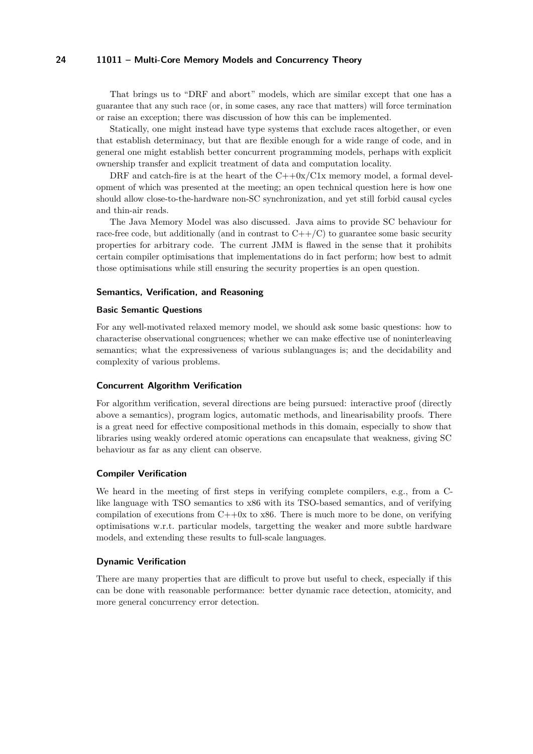That brings us to "DRF and abort" models, which are similar except that one has a guarantee that any such race (or, in some cases, any race that matters) will force termination or raise an exception; there was discussion of how this can be implemented.

Statically, one might instead have type systems that exclude races altogether, or even that establish determinacy, but that are flexible enough for a wide range of code, and in general one might establish better concurrent programming models, perhaps with explicit ownership transfer and explicit treatment of data and computation locality.

DRF and catch-fire is at the heart of the  $C++0x/C1x$  memory model, a formal development of which was presented at the meeting; an open technical question here is how one should allow close-to-the-hardware non-SC synchronization, and yet still forbid causal cycles and thin-air reads.

The Java Memory Model was also discussed. Java aims to provide SC behaviour for race-free code, but additionally (and in contrast to  $C++/C$ ) to guarantee some basic security properties for arbitrary code. The current JMM is flawed in the sense that it prohibits certain compiler optimisations that implementations do in fact perform; how best to admit those optimisations while still ensuring the security properties is an open question.

#### **Semantics, Verification, and Reasoning**

#### **Basic Semantic Questions**

For any well-motivated relaxed memory model, we should ask some basic questions: how to characterise observational congruences; whether we can make effective use of noninterleaving semantics; what the expressiveness of various sublanguages is; and the decidability and complexity of various problems.

#### **Concurrent Algorithm Verification**

For algorithm verification, several directions are being pursued: interactive proof (directly above a semantics), program logics, automatic methods, and linearisability proofs. There is a great need for effective compositional methods in this domain, especially to show that libraries using weakly ordered atomic operations can encapsulate that weakness, giving SC behaviour as far as any client can observe.

#### **Compiler Verification**

We heard in the meeting of first steps in verifying complete compilers, e.g., from a Clike language with TSO semantics to x86 with its TSO-based semantics, and of verifying compilation of executions from  $C+10x$  to x86. There is much more to be done, on verifying optimisations w.r.t. particular models, targetting the weaker and more subtle hardware models, and extending these results to full-scale languages.

#### **Dynamic Verification**

There are many properties that are difficult to prove but useful to check, especially if this can be done with reasonable performance: better dynamic race detection, atomicity, and more general concurrency error detection.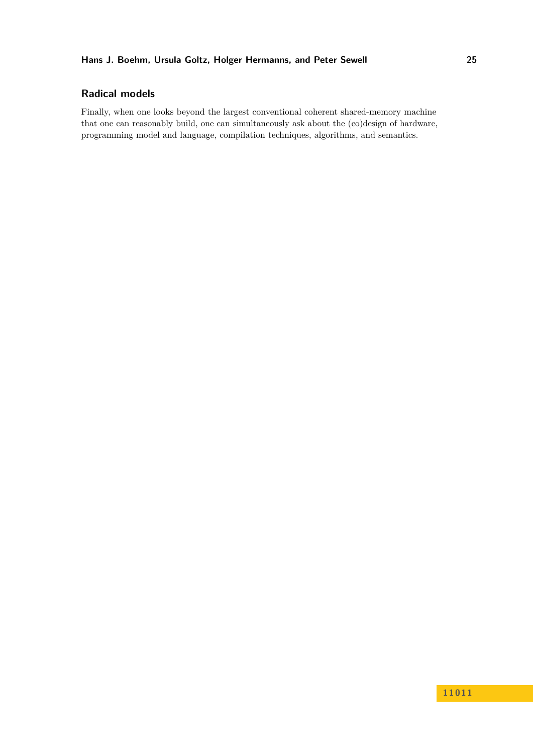# **Hans J. Boehm, Ursula Goltz, Holger Hermanns, and Peter Sewell 25**

# **Radical models**

Finally, when one looks beyond the largest conventional coherent shared-memory machine that one can reasonably build, one can simultaneously ask about the (co)design of hardware, programming model and language, compilation techniques, algorithms, and semantics.